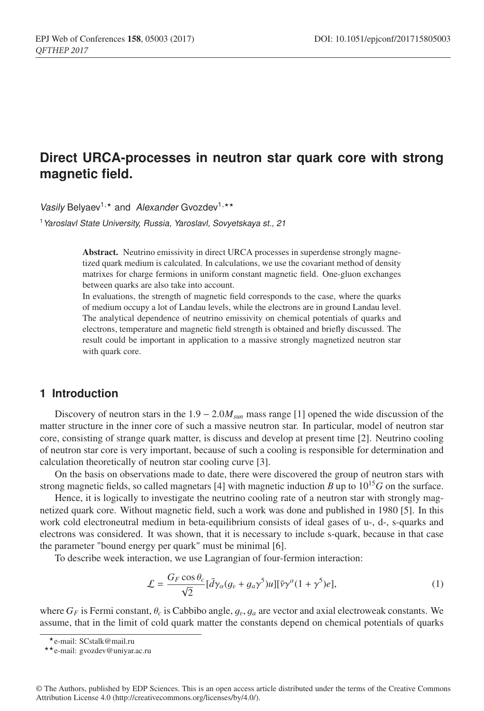# **Direct URCA-processes in neutron star quark core with strong magnetic field.**

*Vasily* Belyaev<sup>1,\*</sup> and *Alexander* Gvozdev<sup>1,\*\*</sup>

<sup>1</sup>*Yaroslavl State University, Russia, Yaroslavl, Sovyetskaya st., 21*

Abstract. Neutrino emissivity in direct URCA processes in superdense strongly magnetized quark medium is calculated. In calculations, we use the covariant method of density matrixes for charge fermions in uniform constant magnetic field. One-gluon exchanges between quarks are also take into account.

In evaluations, the strength of magnetic field corresponds to the case, where the quarks of medium occupy a lot of Landau levels, while the electrons are in ground Landau level. The analytical dependence of neutrino emissivity on chemical potentials of quarks and electrons, temperature and magnetic field strength is obtained and briefly discussed. The result could be important in application to a massive strongly magnetized neutron star with quark core.

### **1 Introduction**

Discovery of neutron stars in the 1.9 – 2.0*M<sub>sun</sub>* mass range [1] opened the wide discussion of the matter structure in the inner core of such a massive neutron star. In particular, model of neutron star core, consisting of strange quark matter, is discuss and develop at present time [2]. Neutrino cooling of neutron star core is very important, because of such a cooling is responsible for determination and calculation theoretically of neutron star cooling curve [3].

On the basis on observations made to date, there were discovered the group of neutron stars with strong magnetic fields, so called magnetars [4] with magnetic induction *B* up to  $10^{15}G$  on the surface.

Hence, it is logically to investigate the neutrino cooling rate of a neutron star with strongly magnetized quark core. Without magnetic field, such a work was done and published in 1980 [5]. In this work cold electroneutral medium in beta-equilibrium consists of ideal gases of u-, d-, s-quarks and electrons was considered. It was shown, that it is necessary to include s-quark, because in that case the parameter "bound energy per quark" must be minimal [6].

To describe week interaction, we use Lagrangian of four-fermion interaction:

$$
\mathcal{L} = \frac{G_F \cos \theta_c}{\sqrt{2}} [\bar{d}\gamma_\alpha (g_v + g_a \gamma^5) u] [\bar{\nu}\gamma^\alpha (1 + \gamma^5) e], \tag{1}
$$

where  $G_F$  is Fermi constant,  $\theta_c$  is Cabbibo angle,  $g_v, g_a$  are vector and axial electroweak constants. We assume, that in the limit of cold quark matter the constants depend on chemical potentials of quarks

<sup>\*</sup> e-mail: SCstalk@mail.ru<br>\* \* e-mail: gvozdev@uniyar.ac.ru

<sup>©</sup> The Authors, published by EDP Sciences. This is an open access article distributed under the terms of the Creative Commons Attribution License 4.0 (http://creativecommons.org/licenses/by/4.0/).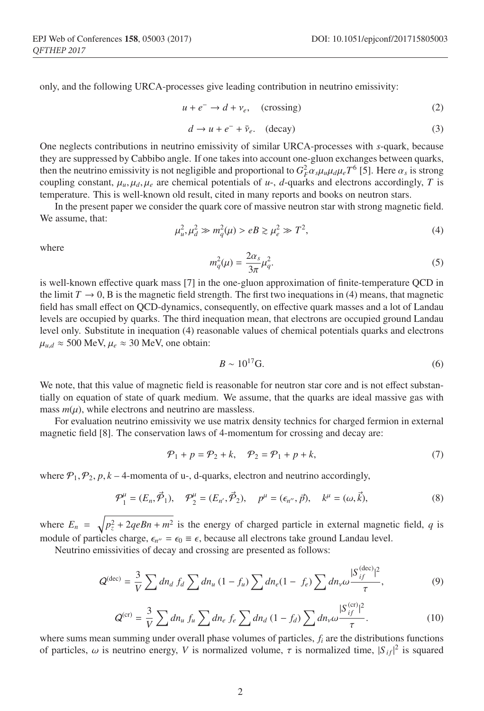only, and the following URCA-processes give leading contribution in neutrino emissivity:

$$
u + e^- \to d + \nu_e, \quad \text{(crossing)} \tag{2}
$$

$$
d \to u + e^- + \bar{\nu}_e. \quad \text{(decay)}\tag{3}
$$

One neglects contributions in neutrino emissivity of similar URCA-processes with *s*-quark, because they are suppressed by Cabbibo angle. If one takes into account one-gluon exchanges between quarks, then the neutrino emissivity is not negligible and proportional to  $G_F^2 \alpha_s \mu_u \mu_d \mu_e T^6$  [5]. Here  $\alpha_s$  is strong coupling constant,  $\mu_u$ ,  $\mu_d$ ,  $\mu_e$  are chemical potentials of  $u$ -,  $d$ -quarks and electrons accordingly, *T* is temperature. This is well-known old result, cited in many reports and books on neutron stars.

In the present paper we consider the quark core of massive neutron star with strong magnetic field. We assume, that:

$$
\mu_u^2, \mu_d^2 \gg m_q^2(\mu) > eB \gtrsim \mu_e^2 \gg T^2,\tag{4}
$$

where

$$
m_q^2(\mu) = \frac{2\alpha_s}{3\pi} \mu_q^2. \tag{5}
$$

is well-known effective quark mass [7] in the one-gluon approximation of finite-temperature QCD in the limit  $T \to 0$ , B is the magnetic field strength. The first two inequations in (4) means, that magnetic field has small effect on QCD-dynamics, consequently, on effective quark masses and a lot of Landau levels are occupied by quarks. The third inequation mean, that electrons are occupied ground Landau level only. Substitute in inequation (4) reasonable values of chemical potentials quarks and electrons  $\mu_{u,d} \approx 500 \text{ MeV}, \mu_e \approx 30 \text{ MeV}, \text{ one obtain:}$ 

$$
B \sim 10^{17} \text{G.}
$$
 (6)

We note, that this value of magnetic field is reasonable for neutron star core and is not effect substantially on equation of state of quark medium. We assume, that the quarks are ideal massive gas with mass  $m(\mu)$ , while electrons and neutrino are massless.

For evaluation neutrino emissivity we use matrix density technics for charged fermion in external magnetic field [8]. The conservation laws of 4-momentum for crossing and decay are:

$$
\mathcal{P}_1 + p = \mathcal{P}_2 + k, \quad \mathcal{P}_2 = \mathcal{P}_1 + p + k,\tag{7}
$$

where  $P_1$ ,  $P_2$ ,  $p$ ,  $k - 4$ -momenta of u-, d-quarks, electron and neutrino accordingly,

$$
\mathcal{P}_1^{\mu} = (E_n, \vec{\mathcal{P}}_1), \quad \mathcal{P}_2^{\mu} = (E_{n'}, \vec{\mathcal{P}}_2), \quad p^{\mu} = (\epsilon_{n''}, \vec{p}), \quad k^{\mu} = (\omega, \vec{k}), \tag{8}
$$

where  $E_n = \sqrt{p_z^2 + 2q e B n + m^2}$  is the energy of charged particle in external magnetic field, *q* is module of particles charge,  $\epsilon_{n''} = \epsilon_0 \equiv \epsilon$ , because all electrons take ground Landau level.

Neutrino emissivities of decay and crossing are presented as follows:

$$
Q^{(\text{dec})} = \frac{3}{V} \sum dn_d \, f_d \sum dn_u \, (1 - f_u) \sum dn_e (1 - f_e) \sum dn_v \omega \frac{|S_{if}^{(\text{dec})}|^2}{\tau},\tag{9}
$$

$$
Q^{(cr)} = \frac{3}{V} \sum dn_u f_u \sum dn_e f_e \sum dn_d (1 - f_d) \sum dn_v \omega \frac{|S_{if}^{(cr)}|^2}{\tau}.
$$
 (10)

where sums mean summing under overall phase volumes of particles, *fi* are the distributions functions of particles,  $\omega$  is neutrino energy, *V* is normalized volume,  $\tau$  is normalized time,  $|S_{if}|^2$  is squared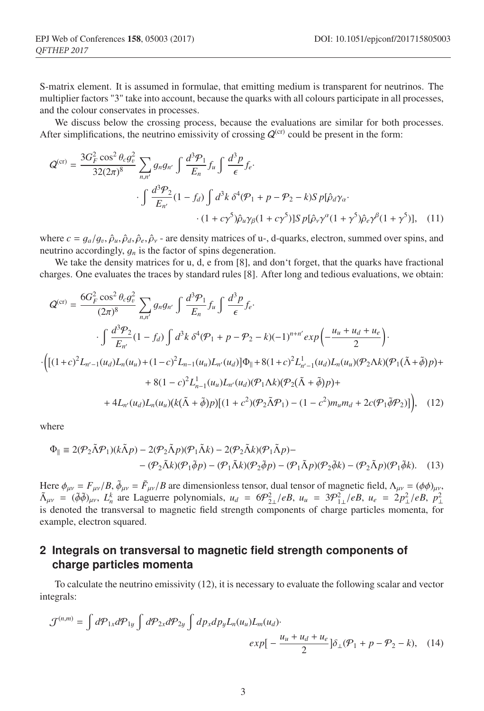S-matrix element. It is assumed in formulae, that emitting medium is transparent for neutrinos. The multiplier factors "3" take into account, because the quarks with all colours participate in all processes, and the colour conservates in processes.

We discuss below the crossing process, because the evaluations are similar for both processes. After simplifications, the neutrino emissivity of crossing  $Q^{(cr)}$  could be present in the form:

$$
Q^{(cr)} = \frac{3G_F^2 \cos^2 \theta_c g_v^2}{32(2\pi)^8} \sum_{n,n'} g_n g_{n'} \int \frac{d^3 P_1}{E_n} f_u \int \frac{d^3 p}{\epsilon} f_e \cdot
$$
  

$$
\int \frac{d^3 P_2}{E_{n'}} (1 - f_d) \int d^3 k \, \delta^4(\mathcal{P}_1 + p - \mathcal{P}_2 - k) S \, p[\hat{\rho}_d \gamma_\alpha \cdot \frac{(1 + c\gamma^5)\hat{\rho}_u \gamma_\beta (1 + c\gamma^5)] S \, p[\hat{\rho}_v \gamma^\alpha (1 + \gamma^5)\hat{\rho}_e \gamma^\beta (1 + \gamma^5)], \quad (11)
$$

where  $c = g_a/g_v, \hat{\rho}_u, \hat{\rho}_d, \hat{\rho}_e, \hat{\rho}_v$  - are density matrices of u-, d-quarks, electron, summed over spins, and neutrino accordingly, g*<sup>n</sup>* is the factor of spins degeneration.

We take the density matrices for u, d, e from [8], and don't forget, that the quarks have fractional charges. One evaluates the traces by standard rules [8]. After long and tedious evaluations, we obtain:

$$
Q^{(cr)} = \frac{6G_F^2 \cos^2 \theta_c g_v^2}{(2\pi)^8} \sum_{n,n'} g_n g_{n'} \int \frac{d^3 P_1}{E_n} f_u \int \frac{d^3 p}{\epsilon} f_e.
$$
  
\n
$$
\int \frac{d^3 P_2}{E_{n'}} (1 - f_d) \int d^3 k \delta^4 (\mathcal{P}_1 + p - \mathcal{P}_2 - k)(-1)^{n+n'} \exp\left(-\frac{u_u + u_d + u_e}{2}\right).
$$
  
\n
$$
\cdot \left( [(1+c)^2 L_{n'-1}(u_d) L_n(u_u) + (1-c)^2 L_{n-1}(u_u) L_{n'}(u_d)] \Phi_{\parallel} + 8(1+c)^2 L_{n'-1}^1(u_d) L_n(u_u) (\mathcal{P}_2 \Lambda k)(\mathcal{P}_1 (\tilde{\Lambda} + \tilde{\phi}) p) +
$$
  
\n
$$
+ 8(1-c)^2 L_{n-1}^1(u_u) L_{n'}(u_d) (\mathcal{P}_1 \Lambda k)(\mathcal{P}_2 (\tilde{\Lambda} + \tilde{\phi}) p) +
$$
  
\n
$$
+ 4L_{n'}(u_d) L_n(u_u) (k(\tilde{\Lambda} + \tilde{\phi}) p)[(1+c^2)(\mathcal{P}_2 \tilde{\Lambda} \mathcal{P}_1) - (1-c^2) m_u m_d + 2c(\mathcal{P}_1 \tilde{\phi} \mathcal{P}_2)] \right), \quad (12)
$$

where

$$
\Phi_{\parallel} \equiv 2(\mathcal{P}_2 \tilde{\Lambda} \mathcal{P}_1)(k\tilde{\Lambda} p) - 2(\mathcal{P}_2 \tilde{\Lambda} p)(\mathcal{P}_1 \tilde{\Lambda} k) - 2(\mathcal{P}_2 \tilde{\Lambda} k)(\mathcal{P}_1 \tilde{\Lambda} p) -
$$

$$
-(\mathcal{P}_2 \tilde{\Lambda} k)(\mathcal{P}_1 \tilde{\phi} p) - (\mathcal{P}_1 \tilde{\Lambda} k)(\mathcal{P}_2 \tilde{\phi} p) - (\mathcal{P}_1 \tilde{\Lambda} p)(\mathcal{P}_2 \tilde{\phi} k) - (\mathcal{P}_2 \tilde{\Lambda} p)(\mathcal{P}_1 \tilde{\phi} k). \tag{13}
$$

Here  $\phi_{\mu\nu} = F_{\mu\nu}/B$ ,  $\tilde{\phi}_{\mu\nu} = \tilde{F}_{\mu\nu}/B$  are dimensionless tensor, dual tensor of magnetic field,  $\Lambda_{\mu\nu} = (\phi \phi)_{\mu\nu}$ ,  $\tilde{\Lambda}_{\mu\nu} = (\tilde{\phi}\tilde{\phi})_{\mu\nu}, L_h^k$  are Laguerre polynomials,  $u_d = 6\mathcal{P}_{2\perp}^2/eB$ ,  $u_u = 3\mathcal{P}_{1\perp}^2/eB$ ,  $u_e = 2p_{\perp}^2/eB$ ,  $p_{\perp}^2$ is denoted the transversal to magnetic field strength components of charge particles momenta, for example, electron squared.

## **2 Integrals on transversal to magnetic field strength components of charge particles momenta**

To calculate the neutrino emissivity (12), it is necessary to evaluate the following scalar and vector integrals:

$$
\mathcal{J}^{(n,m)} = \int d\mathcal{P}_{1x} d\mathcal{P}_{1y} \int d\mathcal{P}_{2x} d\mathcal{P}_{2y} \int dp_x dp_y L_n(u_u) L_m(u_d) \cdot \exp\left[-\frac{u_u + u_d + u_e}{2}\right] \delta_{\perp}(\mathcal{P}_1 + p - \mathcal{P}_2 - k), \quad (14)
$$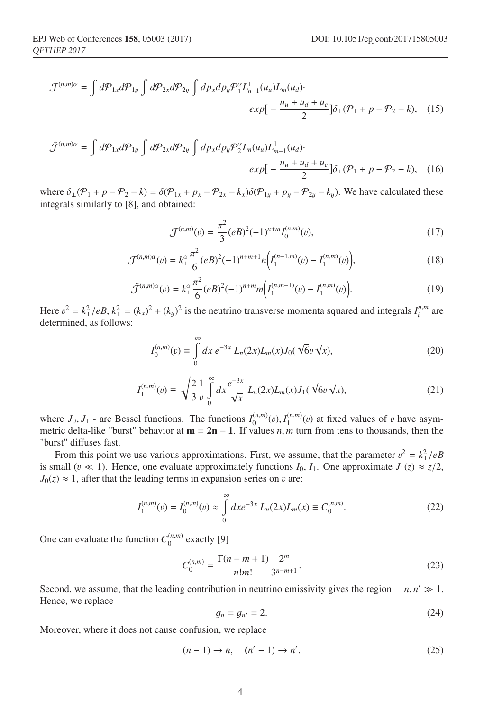$$
\mathcal{J}^{(n,m)\alpha} = \int d\mathcal{P}_{1x} d\mathcal{P}_{1y} \int d\mathcal{P}_{2x} d\mathcal{P}_{2y} \int dp_x dp_y \mathcal{P}_1^{\alpha} L_{n-1}^1(u_u) L_m(u_d) \cdot \exp\left[-\frac{u_u + u_d + u_e}{2}\right] \delta_{\perp}(\mathcal{P}_1 + p - \mathcal{P}_2 - k), \quad (15)
$$

$$
\tilde{\mathcal{J}}^{(n,m)\alpha} = \int d\mathcal{P}_{1x} d\mathcal{P}_{1y} \int d\mathcal{P}_{2x} d\mathcal{P}_{2y} \int dp_x dp_y \mathcal{P}_2^{\alpha} L_n(u_u) L_{m-1}^1(u_d) \cdot \exp\left[-\frac{u_u + u_d + u_e}{2}\right] \delta_{\perp}(\mathcal{P}_1 + p - \mathcal{P}_2 - k), \quad (16)
$$

where  $\delta_{\perp}(\mathcal{P}_1 + p - \mathcal{P}_2 - k) = \delta(\mathcal{P}_{1x} + p_x - \mathcal{P}_{2x} - k_x)\delta(\mathcal{P}_{1y} + p_y - \mathcal{P}_{2y} - k_y)$ . We have calculated these integrals similarly to [8], and obtained:

$$
\mathcal{J}^{(n,m)}(v) = \frac{\pi^2}{3} (eB)^2 (-1)^{n+m} I_0^{(n,m)}(v),\tag{17}
$$

$$
\mathcal{J}^{(n,m)\alpha}(v) = k_{\perp}^{\alpha} \frac{\pi^2}{6} (eB)^2 (-1)^{n+m+1} n \Big( I_1^{(n-1,m)}(v) - I_1^{(n,m)}(v) \Big),\tag{18}
$$

$$
\tilde{\mathcal{J}}^{(n,m)\alpha}(v) = k_{\perp}^{\alpha} \frac{\pi^2}{6} (eB)^2 (-1)^{n+m} m \Big( I_1^{(n,m-1)}(v) - I_1^{(n,m)}(v) \Big). \tag{19}
$$

Here  $v^2 = k_\perp^2/eB$ ,  $k_\perp^2 = (k_x)^2 + (k_y)^2$  is the neutrino transverse momenta squared and integrals  $I_i^{n,m}$  are determined, as follows:

$$
I_0^{(n,m)}(v) \equiv \int_0^\infty dx \, e^{-3x} \, L_n(2x) L_m(x) J_0(\sqrt{6}v \sqrt{x}), \tag{20}
$$

$$
I_1^{(n,m)}(v) \equiv \sqrt{\frac{2}{3}} \frac{1}{v} \int_0^\infty dx \frac{e^{-3x}}{\sqrt{x}} L_n(2x) L_m(x) J_1(\sqrt{6}v \sqrt{x}), \tag{21}
$$

where  $J_0$ ,  $J_1$  - are Bessel functions. The functions  $I_0^{(n,m)}(v)$ ,  $I_1^{(n,m)}(v)$  at fixed values of v have asymmetric delta-like "burst" behavior at m = 2n − 1. If values *n*, *m* turn from tens to thousands, then the "burst" diffuses fast.

From this point we use various approximations. First, we assume, that the parameter  $v^2 = k_\perp^2/eB$ is small ( $v \ll 1$ ). Hence, one evaluate approximately functions  $I_0$ ,  $I_1$ . One approximate  $J_1(z) \approx z/2$ ,  $J_0(z) \approx 1$ , after that the leading terms in expansion series on v are:

$$
I_1^{(n,m)}(v) = I_0^{(n,m)}(v) \approx \int_0^\infty dx e^{-3x} L_n(2x) L_m(x) \equiv C_0^{(n,m)}.
$$
 (22)

One can evaluate the function  $C_0^{(n,m)}$  exactly [9]

$$
C_0^{(n,m)} = \frac{\Gamma(n+m+1)}{n!m!} \frac{2^m}{3^{n+m+1}}.
$$
 (23)

Second, we assume, that the leading contribution in neutrino emissivity gives the region  $n, n' \gg 1$ . Hence, we replace

$$
g_n = g_{n'} = 2. \tag{24}
$$

Moreover, where it does not cause confusion, we replace

$$
(n-1) \to n, \quad (n'-1) \to n'. \tag{25}
$$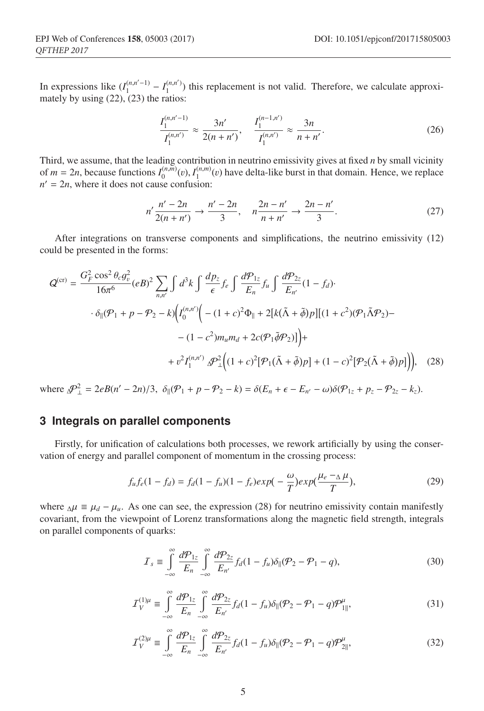In expressions like  $(I_1^{(n,n'-1)} - I_1^{(n,n')}$  this replacement is not valid. Therefore, we calculate approximately by using (22), (23) the ratios:

$$
\frac{I_1^{(n,n'-1)}}{I_1^{(n,n')}} \approx \frac{3n'}{2(n+n')}, \quad \frac{I_1^{(n-1,n')}}{I_1^{(n,n')} } \approx \frac{3n}{n+n'}.
$$
\n(26)

Third, we assume, that the leading contribution in neutrino emissivity gives at fixed *n* by small vicinity of  $m = 2n$ , because functions  $I_0^{(n,m)}(v)$ ,  $I_1^{(n,m)}(v)$  have delta-like burst in that domain. Hence, we replace  $n' = 2n$ , where it does not cause confusion:

$$
n'\frac{n'-2n}{2(n+n')} \to \frac{n'-2n}{3}, \quad n\frac{2n-n'}{n+n'} \to \frac{2n-n'}{3}.
$$
 (27)

After integrations on transverse components and simplifications, the neutrino emissivity (12) could be presented in the forms:

$$
Q^{(cr)} = \frac{G_F^2 \cos^2 \theta_c g_v^2}{16\pi^6} (eB)^2 \sum_{n,n'} \int d^3k \int \frac{dp_z}{\epsilon} f_e \int \frac{d\mathcal{P}_{1z}}{E_n} f_u \int \frac{d\mathcal{P}_{2z}}{E_{n'}} (1 - f_d) \cdot
$$

$$
\cdot \delta_{\parallel}(\mathcal{P}_1 + p - \mathcal{P}_2 - k) \Big( I_0^{(n,n')} \Big( -(1 + c)^2 \Phi_{\parallel} + 2[k(\tilde{\Lambda} + \tilde{\phi})p][(1 + c^2)(\mathcal{P}_1 \tilde{\Lambda} \mathcal{P}_2) - (1 - c^2) m_u m_d + 2c(\mathcal{P}_1 \tilde{\phi} \mathcal{P}_2) \Big) \Big) +
$$

$$
+ v^2 I_1^{(n,n')} \mathcal{P}_\perp^2 \Big( (1 + c)^2 [\mathcal{P}_1(\tilde{\Lambda} + \tilde{\phi})p] + (1 - c)^2 [\mathcal{P}_2(\tilde{\Lambda} + \tilde{\phi})p] \Big), \quad (28)
$$

 $\text{where } \Delta P_{\perp}^2 = 2eB(n'-2n)/3, \ \delta_{\parallel}(P_1 + p - P_2 - k) = \delta(E_n + \epsilon - E_{n'} - \omega)\delta(P_{1z} + p_z - P_{2z} - k_z).$ 

## **3 Integrals on parallel components**

Firstly, for unification of calculations both processes, we rework artificially by using the conservation of energy and parallel component of momentum in the crossing process:

$$
f_u f_e (1 - f_d) = f_d (1 - f_u)(1 - f_e) exp\left(-\frac{\omega}{T}\right) exp\left(\frac{\mu_e - \Delta \mu}{T}\right),\tag{29}
$$

where  $\Delta \mu = \mu_d - \mu_u$ . As one can see, the expression (28) for neutrino emissivity contain manifestly covariant, from the viewpoint of Lorenz transformations along the magnetic field strength, integrals on parallel components of quarks:

$$
\mathcal{I}_s \equiv \int_{-\infty}^{\infty} \frac{d\mathcal{P}_{1z}}{E_n} \int_{-\infty}^{\infty} \frac{d\mathcal{P}_{2z}}{E_{n'}} f_d (1 - f_u) \delta_{\parallel}(\mathcal{P}_2 - \mathcal{P}_1 - q), \tag{30}
$$

$$
\mathcal{I}_V^{(1)\mu} \equiv \int_{-\infty}^{\infty} \frac{d\mathcal{P}_{1z}}{E_n} \int_{-\infty}^{\infty} \frac{d\mathcal{P}_{2z}}{E_{n'}} f_d (1 - f_u) \delta_{\parallel} (\mathcal{P}_2 - \mathcal{P}_1 - q) \mathcal{P}_{1\parallel}^{\mu}, \tag{31}
$$

$$
\mathcal{I}_V^{(2)\mu} \equiv \int_{-\infty}^{\infty} \frac{d\mathcal{P}_{1z}}{E_n} \int_{-\infty}^{\infty} \frac{d\mathcal{P}_{2z}}{E_{n'}} f_d (1 - f_u) \delta_{\parallel} (\mathcal{P}_2 - \mathcal{P}_1 - q) \mathcal{P}_{2\parallel}^{\mu}, \tag{32}
$$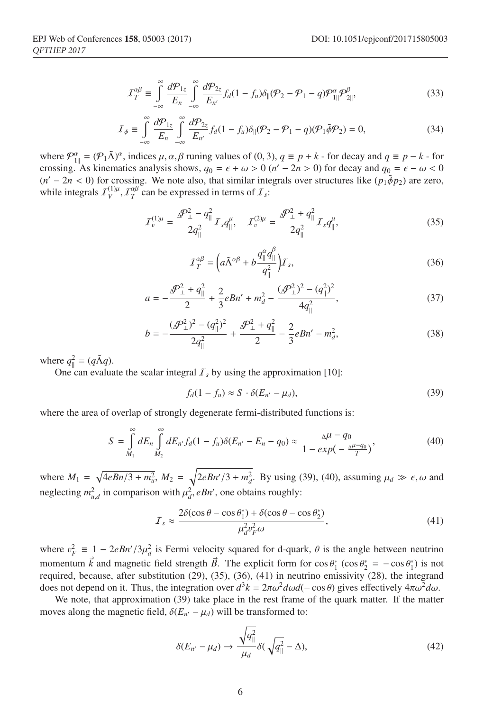$$
\mathcal{I}_T^{\alpha\beta} \equiv \int\limits_{-\infty}^{\infty} \frac{d\mathcal{P}_{1z}}{E_n} \int\limits_{-\infty}^{\infty} \frac{d\mathcal{P}_{2z}}{E_{n'}} f_d (1 - f_u) \delta_{\parallel} (\mathcal{P}_2 - \mathcal{P}_1 - q) \mathcal{P}_{1\parallel}^{\alpha} \mathcal{P}_{2\parallel}^{\beta},\tag{33}
$$

$$
\mathcal{I}_{\phi} \equiv \int_{-\infty}^{\infty} \frac{d\mathcal{P}_{1z}}{E_n} \int_{-\infty}^{\infty} \frac{d\mathcal{P}_{2z}}{E_{n'}} f_d (1 - f_u) \delta_{\parallel} (\mathcal{P}_2 - \mathcal{P}_1 - q) (\mathcal{P}_1 \tilde{\phi} \mathcal{P}_2) = 0, \tag{34}
$$

where  $\mathcal{P}_{1\parallel}^{\alpha} = (\mathcal{P}_{1}\tilde{\Lambda})^{\alpha}$ , indices  $\mu, \alpha, \beta$  runing values of (0, 3),  $q \equiv p + k$  - for decay and  $q \equiv p - k$  - for crossing. As kinematics analysis shows,  $q_0 = \epsilon + \omega > 0$  ( $n' - 2n > 0$ ) for decay and  $q_0 = \epsilon - \omega < 0$  $(n' - 2n < 0)$  for crossing. We note also, that similar integrals over structures like  $(p_1 \tilde{\phi} p_2)$  are zero, while integrals  $I_V^{(1)\mu}$ ,  $I_T^{\alpha\beta}$  can be expressed in terms of  $I_s$ :

$$
\mathcal{I}_v^{(1)\mu} = \frac{\mathcal{P}_\perp^2 - q_{\parallel}^2}{2q_{\parallel}^2} \mathcal{I}_s q_{\parallel}^\mu, \quad \mathcal{I}_v^{(2)\mu} = \frac{\mathcal{P}_\perp^2 + q_{\parallel}^2}{2q_{\parallel}^2} \mathcal{I}_s q_{\parallel}^\mu,\tag{35}
$$

$$
\mathcal{I}_T^{\alpha\beta} = \left( a\tilde{\Lambda}^{\alpha\beta} + b\frac{q_{\parallel}^{\alpha}q_{\parallel}^{\beta}}{q_{\parallel}^2} \right) \mathcal{I}_s,\tag{36}
$$

$$
a = -\frac{\Delta P_{\perp}^2 + q_{\parallel}^2}{2} + \frac{2}{3}eBn' + m_d^2 - \frac{(\Delta P_{\perp}^2)^2 - (q_{\parallel}^2)^2}{4q_{\parallel}^2},
$$
\n(37)

$$
b = -\frac{(\mathcal{P}_\perp^2)^2 - (q_\parallel^2)^2}{2q_\parallel^2} + \frac{\mathcal{P}_\perp^2 + q_\parallel^2}{2} - \frac{2}{3}eBn' - m_d^2,\tag{38}
$$

where  $q_{\parallel}^2 = (q \tilde{\Lambda} q)$ .

One can evaluate the scalar integral  $I_s$  by using the approximation [10]:

$$
f_d(1 - f_u) \approx S \cdot \delta(E_{n'} - \mu_d), \tag{39}
$$

where the area of overlap of strongly degenerate fermi-distributed functions is:

$$
S = \int_{M_1}^{\infty} dE_n \int_{M_2}^{\infty} dE_{n'} f_d (1 - f_u) \delta(E_{n'} - E_n - q_0) \approx \frac{\Delta \mu - q_0}{1 - exp(-\frac{\Delta \mu - q_0}{T})},
$$
(40)

where  $M_1 = \sqrt{4eBn/3 + m_u^2}$ ,  $M_2 = \sqrt{2eBn'/3 + m_d^2}$ . By using (39), (40), assuming  $\mu_d \gg \epsilon$ ,  $\omega$  and neglecting  $m_{u,d}^2$  in comparison with  $\mu_d^2$ , *eBn'*, one obtains roughly:

$$
I_s \approx \frac{2\delta(\cos\theta - \cos\theta_1^*) + \delta(\cos\theta - \cos\theta_2^*)}{\mu_d^2 v_F^2 \omega},\tag{41}
$$

where  $v_F^2 \equiv 1 - 2eBn'/3\mu_d^2$  is Fermi velocity squared for d-quark,  $\theta$  is the angle between neutrino momentum  $\vec{k}$  and magnetic field strength  $\vec{B}$ . The explicit form for  $\cos \theta_1^* (\cos \theta_2^* = -\cos \theta_1^*)$  is not required, because, after substitution  $(29)$ ,  $(35)$ ,  $(36)$ ,  $(41)$  in neutrino emissivity  $(28)$ , the integrand does not depend on it. Thus, the integration over  $d^3k = 2\pi\omega^2 d\omega d(-\cos\theta)$  gives effectively  $4\pi\omega^2 d\omega$ .

We note, that approximation (39) take place in the rest frame of the quark matter. If the matter moves along the magnetic field,  $\delta(E_{n'} - \mu_d)$  will be transformed to:

$$
\delta(E_{n'} - \mu_d) \to \frac{\sqrt{q_{\parallel}^2}}{\mu_d} \delta(\sqrt{q_{\parallel}^2} - \Delta), \tag{42}
$$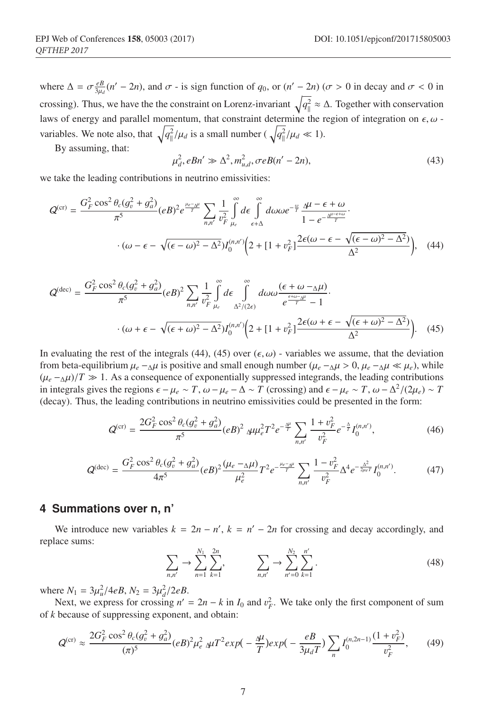where  $\Delta = \sigma \frac{e}{3\mu_d}(n'-2n)$ , and  $\sigma$  - is sign function of  $q_0$ , or  $(n'-2n)$  ( $\sigma > 0$  in decay and  $\sigma < 0$  in crossing). Thus, we have the the constraint on Lorenz-invariant  $\sqrt{q_1^2} \approx \Delta$ . Together with conservation laws of energy and parallel momentum, that constraint determine the region of integration on  $\epsilon, \omega$  variables. We note also, that  $\sqrt{q_{\parallel}^2}/\mu_d$  is a small number ( $\sqrt{q_{\parallel}^2}/\mu_d \ll 1$ ).

By assuming, that:

$$
\mu_d^2, eBn' \gg \Delta^2, m_{u,d}^2, \sigma eB(n'-2n),\tag{43}
$$

we take the leading contributions in neutrino emissivities:

$$
Q^{(cr)} = \frac{G_F^2 \cos^2 \theta_c (g_v^2 + g_a^2)}{\pi^5} (eB)^2 e^{\frac{\mu_c - \Delta \mu}{T}} \sum_{n,n'} \frac{1}{v_F^2} \int_{\mu_e}^{\infty} d\epsilon \int_{\epsilon+\Delta}^{\infty} d\omega \omega e^{-\frac{\omega}{T}} \frac{\Delta \mu - \epsilon + \omega}{1 - e^{-\frac{\Delta \mu - \epsilon + \omega}{T}}} \cdot \frac{1}{(\omega - \epsilon - \sqrt{(\epsilon - \omega)^2 - \Delta^2}) I_0^{(n,n')} \left(2 + [1 + v_F^2] \frac{2\epsilon(\omega - \epsilon - \sqrt{(\epsilon - \omega)^2 - \Delta^2})}{\Delta^2}\right)},
$$
(44)

$$
Q^{(\text{dec})} = \frac{G_F^2 \cos^2 \theta_c (g_v^2 + g_a^2)}{\pi^5} (eB)^2 \sum_{n,n'} \frac{1}{v_F^2} \int_{\mu_e}^{\infty} d\epsilon \int_{\Delta^2/(2\epsilon)}^{\infty} d\omega \omega \frac{(\epsilon + \omega - \Delta\mu)}{e^{\frac{\epsilon + \omega - \Delta\mu}{T}} - 1}.
$$
  

$$
\cdot (\omega + \epsilon - \sqrt{(\epsilon + \omega)^2 - \Delta^2}) I_0^{(n,n')} \Big( 2 + [1 + v_F^2] \frac{2\epsilon(\omega + \epsilon - \sqrt{(\epsilon + \omega)^2 - \Delta^2})}{\Delta^2} \Big). \quad (45)
$$

In evaluating the rest of the integrals (44), (45) over  $(\epsilon, \omega)$  - variables we assume, that the deviation from beta-equilibrium  $\mu_e - \Delta \mu$  is positive and small enough number ( $\mu_e - \Delta \mu > 0$ ,  $\mu_e - \Delta \mu \ll \mu_e$ ), while  $(\mu_e - \Delta \mu)/T \gg 1$ . As a consequence of exponentially suppressed integrands, the leading contributions in integrals gives the regions  $\epsilon - \mu_e \sim T$ ,  $\omega - \mu_e - \Delta \sim T$  (crossing) and  $\epsilon - \mu_e \sim T$ ,  $\omega - \Delta^2/(2\mu_e) \sim T$ (decay). Thus, the leading contributions in neutrino emissivities could be presented in the form:

$$
Q^{(\text{cr})} = \frac{2G_F^2 \cos^2 \theta_c (g_v^2 + g_a^2)}{\pi^5} (eB)^2 \Delta \mu \mu_e^2 T^2 e^{-\frac{\Delta \mu}{T}} \sum_{n,n'} \frac{1 + v_F^2}{v_F^2} e^{-\frac{\Delta}{T}} I_0^{(n,n')}, \tag{46}
$$

$$
Q^{(\text{dec})} = \frac{G_F^2 \cos^2 \theta_c (g_v^2 + g_d^2)}{4\pi^5} (eB)^2 \frac{(\mu_e - \Delta \mu)}{\mu_e^2} T^2 e^{-\frac{\mu_e - \Delta \mu}{T}} \sum_{n,n'} \frac{1 - v_F^2}{v_F^2} \Delta^4 e^{-\frac{\Delta^2}{2\mu_e T}} I_0^{(n,n')}.
$$
(47)

#### **4 Summations over n, n'**

We introduce new variables  $k = 2n - n'$ ,  $k = n' - 2n$  for crossing and decay accordingly, and replace sums:

$$
\sum_{n,n'} \to \sum_{n=1}^{N_1} \sum_{k=1}^{2n}, \qquad \sum_{n,n'} \to \sum_{n'=0}^{N_2} \sum_{k=1}^{n'}.
$$
 (48)

where  $N_1 = 3\mu_u^2/4eB$ ,  $N_2 = 3\mu_d^2/2eB$ .

Next, we express for crossing  $n' = 2n - k$  in  $I_0$  and  $v_F^2$ . We take only the first component of sum of *k* because of suppressing exponent, and obtain:

$$
Q^{(\text{cr})} \approx \frac{2G_F^2 \cos^2 \theta_c (g_v^2 + g_a^2)}{(\pi)^5} (eB)^2 \mu_e^2 \mu T^2 exp(-\frac{\mu}{T}) exp(-\frac{eB}{3\mu_d T}) \sum_n I_0^{(n,2n-1)} \frac{(1+v_F^2)}{v_F^2},\qquad(49)
$$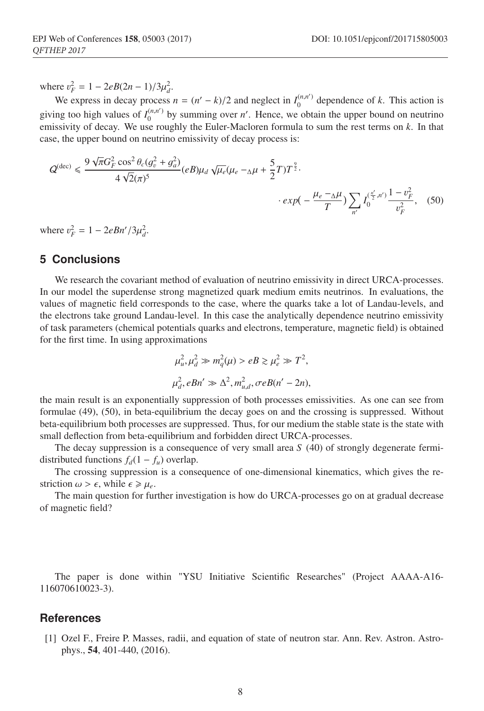where  $v_F^2 = 1 - 2eB(2n - 1)/3\mu_d^2$ .

We express in decay process  $n = (n' - k)/2$  and neglect in  $I_0^{(n,n')}$  dependence of *k*. This action is giving too high values of  $I_0^{(n,n')}$  by summing over *n'*. Hence, we obtain the upper bound on neutrino emissivity of decay. We use roughly the Euler-Macloren formula to sum the rest terms on *k*. In that case, the upper bound on neutrino emissivity of decay process is:

$$
Q^{(\text{dec})} \leq \frac{9\sqrt{\pi}G_F^2 \cos^2\theta_c(g_v^2 + g_a^2)}{4\sqrt{2}(\pi)^5} (eB)\mu_d \sqrt{\mu_e}(\mu_e - \Delta\mu + \frac{5}{2}T)T^{\frac{9}{2}} \cdot \exp(-\frac{\mu_e - \Delta\mu}{T}) \sum_{n'} I_0^{(\frac{n'}{2}, n')} \frac{1 - v_F^2}{v_F^2}, \quad (50)
$$

where  $v_F^2 = 1 - 2eBn'/3\mu_d^2$ .

### **5 Conclusions**

We research the covariant method of evaluation of neutrino emissivity in direct URCA-processes. In our model the superdense strong magnetized quark medium emits neutrinos. In evaluations, the values of magnetic field corresponds to the case, where the quarks take a lot of Landau-levels, and the electrons take ground Landau-level. In this case the analytically dependence neutrino emissivity of task parameters (chemical potentials quarks and electrons, temperature, magnetic field) is obtained for the first time. In using approximations

$$
\mu_u^2, \mu_d^2 \gg m_q^2(\mu) > eB \gtrsim \mu_e^2 \gg T^2,
$$
  

$$
\mu_d^2, eBn' \gg \Delta^2, m_{u,d}^2, \sigma eB(n'-2n),
$$

the main result is an exponentially suppression of both processes emissivities. As one can see from formulae (49), (50), in beta-equilibrium the decay goes on and the crossing is suppressed. Without beta-equilibrium both processes are suppressed. Thus, for our medium the stable state is the state with small deflection from beta-equilibrium and forbidden direct URCA-processes.

The decay suppression is a consequence of very small area *S* (40) of strongly degenerate fermidistributed functions  $f_d(1 - f_u)$  overlap.

The crossing suppression is a consequence of one-dimensional kinematics, which gives the restriction  $\omega > \epsilon$ , while  $\epsilon \geq \mu_e$ .

The main question for further investigation is how do URCA-processes go on at gradual decrease of magnetic field?

The paper is done within "YSU Initiative Scientific Researches" (Project AAAA-A16- 116070610023-3).

#### **References**

[1] Ozel F., Freire P. Masses, radii, and equation of state of neutron star. Ann. Rev. Astron. Astrophys., 54, 401-440, (2016).